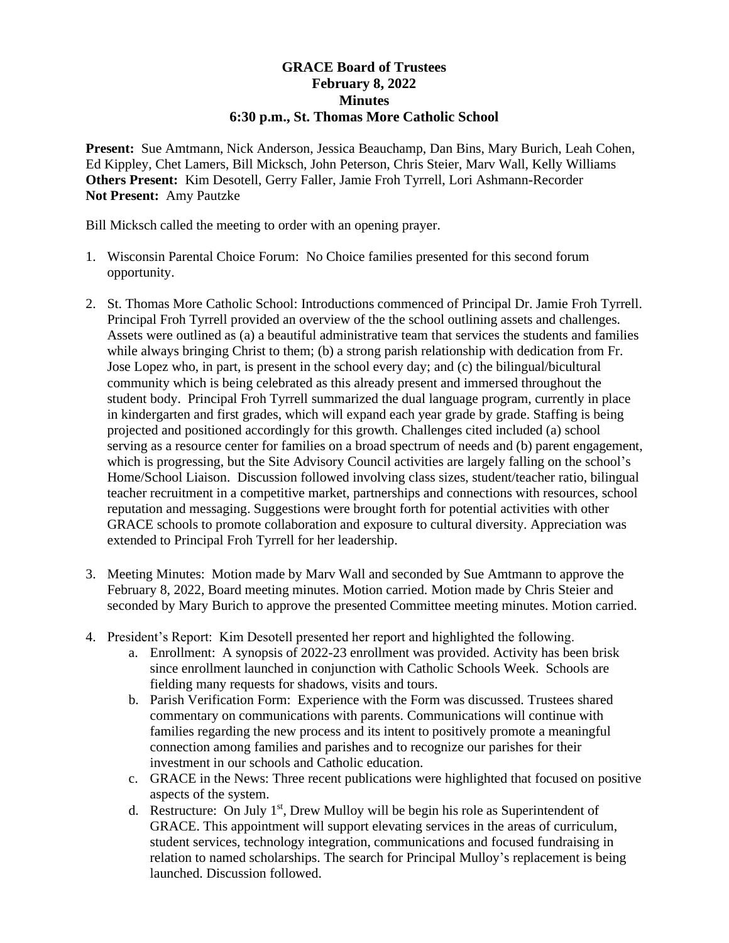## **GRACE Board of Trustees February 8, 2022 Minutes 6:30 p.m., St. Thomas More Catholic School**

**Present:** Sue Amtmann, Nick Anderson, Jessica Beauchamp, Dan Bins, Mary Burich, Leah Cohen, Ed Kippley, Chet Lamers, Bill Micksch, John Peterson, Chris Steier, Marv Wall, Kelly Williams **Others Present:** Kim Desotell, Gerry Faller, Jamie Froh Tyrrell, Lori Ashmann-Recorder **Not Present:** Amy Pautzke

Bill Micksch called the meeting to order with an opening prayer.

- 1. Wisconsin Parental Choice Forum: No Choice families presented for this second forum opportunity.
- 2. St. Thomas More Catholic School: Introductions commenced of Principal Dr. Jamie Froh Tyrrell. Principal Froh Tyrrell provided an overview of the the school outlining assets and challenges. Assets were outlined as (a) a beautiful administrative team that services the students and families while always bringing Christ to them; (b) a strong parish relationship with dedication from Fr. Jose Lopez who, in part, is present in the school every day; and (c) the bilingual/bicultural community which is being celebrated as this already present and immersed throughout the student body. Principal Froh Tyrrell summarized the dual language program, currently in place in kindergarten and first grades, which will expand each year grade by grade. Staffing is being projected and positioned accordingly for this growth. Challenges cited included (a) school serving as a resource center for families on a broad spectrum of needs and (b) parent engagement, which is progressing, but the Site Advisory Council activities are largely falling on the school's Home/School Liaison. Discussion followed involving class sizes, student/teacher ratio, bilingual teacher recruitment in a competitive market, partnerships and connections with resources, school reputation and messaging. Suggestions were brought forth for potential activities with other GRACE schools to promote collaboration and exposure to cultural diversity. Appreciation was extended to Principal Froh Tyrrell for her leadership.
- 3. Meeting Minutes: Motion made by Marv Wall and seconded by Sue Amtmann to approve the February 8, 2022, Board meeting minutes. Motion carried. Motion made by Chris Steier and seconded by Mary Burich to approve the presented Committee meeting minutes. Motion carried.
- 4. President's Report: Kim Desotell presented her report and highlighted the following.
	- a. Enrollment: A synopsis of 2022-23 enrollment was provided. Activity has been brisk since enrollment launched in conjunction with Catholic Schools Week. Schools are fielding many requests for shadows, visits and tours.
	- b. Parish Verification Form: Experience with the Form was discussed. Trustees shared commentary on communications with parents. Communications will continue with families regarding the new process and its intent to positively promote a meaningful connection among families and parishes and to recognize our parishes for their investment in our schools and Catholic education.
	- c. GRACE in the News: Three recent publications were highlighted that focused on positive aspects of the system.
	- d. Restructure: On July  $1<sup>st</sup>$ , Drew Mulloy will be begin his role as Superintendent of GRACE. This appointment will support elevating services in the areas of curriculum, student services, technology integration, communications and focused fundraising in relation to named scholarships. The search for Principal Mulloy's replacement is being launched. Discussion followed.